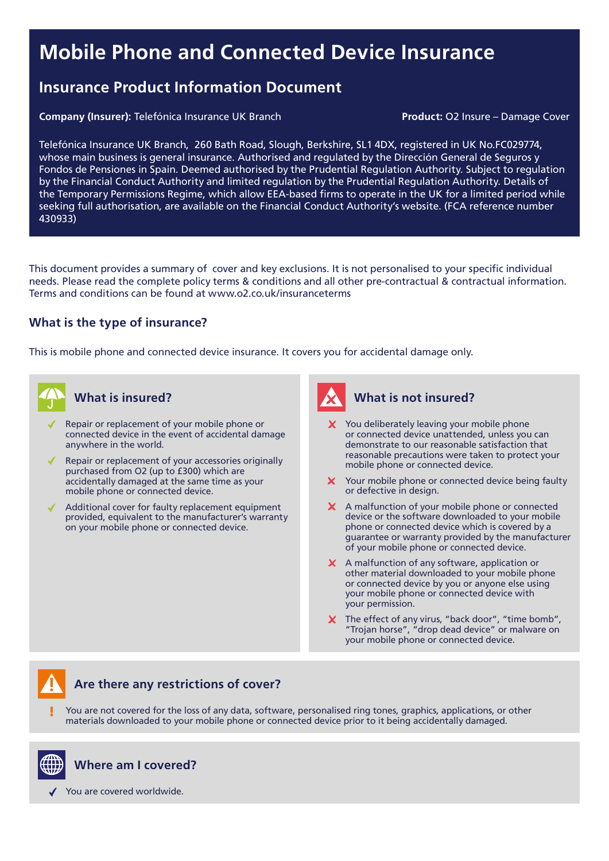# Mobile Phone and Connected Device Insurance

# Insurance Product Information Document

Company (Insurer): Telefónica Insurance UK Branch Product: O2 Insure – Damage Cover

Telefónica Insurance UK Branch, 260 Bath Road, Slough, Berkshire, SL1 4DX, registered in UK No.FC029774, whose main business is general insurance. Authorised and regulated by the Dirección General de Seguros y Fondos de Pensiones in Spain. Deemed authorised by the Prudential Regulation Authority. Subject to regulation by the Financial Conduct Authority and limited regulation by the Prudential Regulation Authority. Details of the Temporary Permissions Regime, which allow EEA-based firms to operate in the UK for a limited period while seeking full authorisation, are available on the Financial Conduct Authority's website. (FCA reference number 430933)

This document provides a summary of cover and key exclusions. It is not personalised to your specific individual needs. Please read the complete policy terms & conditions and all other pre-contractual & contractual information. Terms and conditions can be found at www.o2.co.uk/insuranceterms

#### What is the type of insurance?

This is mobile phone and connected device insurance. It covers you for accidental damage only.



### What is insured?

- Repair or replacement of your mobile phone or connected device in the event of accidental damage anywhere in the world.
- Repair or replacement of your accessories originally purchased from O2 (up to £300) which are accidentally damaged at the same time as your mobile phone or connected device.
- Additional cover for faulty replacement equipment provided, equivalent to the manufacturer's warranty on your mobile phone or connected device.

# What is not insured?

- $\boldsymbol{X}$  You deliberately leaving your mobile phone or connected device unattended, unless you can demonstrate to our reasonable satisfaction that reasonable precautions were taken to protect your mobile phone or connected device.
- X Your mobile phone or connected device being faulty or defective in design.
- X A malfunction of your mobile phone or connected device or the software downloaded to your mobile phone or connected device which is covered by a guarantee or warranty provided by the manufacturer of your mobile phone or connected device.
- X A malfunction of any software, application or other material downloaded to your mobile phone or connected device by you or anyone else using your mobile phone or connected device with your permission.
- X The effect of any virus, "back door", "time bomb", "Trojan horse", "drop dead device" or malware on your mobile phone or connected device.

# Are there any restrictions of cover?

You are not covered for the loss of any data, software, personalised ring tones, graphics, applications, or other materials downloaded to your mobile phone or connected device prior to it being accidentally damaged.



Where am I covered?

You are covered worldwide.